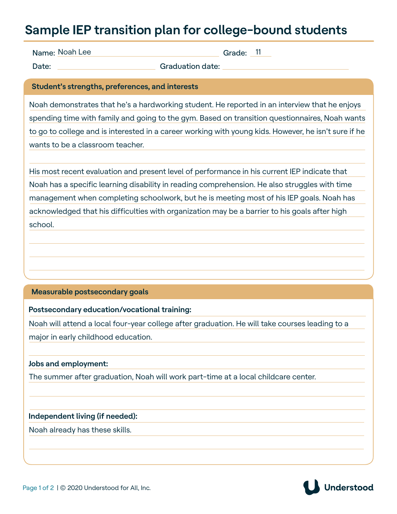## **Sample IEP transition plan for college-bound students**

Name: Noah Lee

Grade: <sup>11</sup>

Date: Caraduation date:

**Student's strengths, preferences, and interests**

Noah demonstrates that he's a hardworking student. He reported in an interview that he enjoys spending time with family and going to the gym. Based on transition questionnaires, Noah wants to go to college and is interested in a career working with young kids. However, he isn't sure if he wants to be a classroom teacher.

His most recent evaluation and present level of performance in his current IEP indicate that Noah has a specific learning disability in reading comprehension. He also struggles with time management when completing schoolwork, but he is meeting most of his IEP goals. Noah has acknowledged that his difficulties with organization may be a barrier to his goals after high school.

#### **Measurable postsecondary goals**

#### **Postsecondary education/vocational training:**

Noah will attend a local four-year college after graduation. He will take courses leading to a major in early childhood education.

#### **Jobs and employment:**

The summer after graduation, Noah will work part-time at a local childcare center.

#### **Independent living (if needed):**

Noah already has these skills.